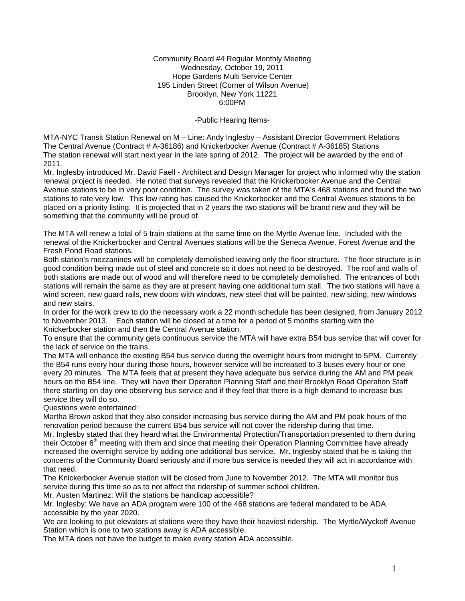Community Board #4 Regular Monthly Meeting Wednesday, October 19, 2011 Hope Gardens Multi Service Center 195 Linden Street (Corner of Wilson Avenue) Brooklyn, New York 11221 6:00PM

-Public Hearing Items-

MTA-NYC Transit Station Renewal on M – Line: Andy Inglesby – Assistant Director Government Relations The Central Avenue (Contract # A-36186) and Knickerbocker Avenue (Contract # A-36185) Stations The station renewal will start next year in the late spring of 2012. The project will be awarded by the end of 2011.

Mr. Inglesby introduced Mr. David Faell - Architect and Design Manager for project who informed why the station renewal project is needed. He noted that surveys revealed that the Knickerbocker Avenue and the Central Avenue stations to be in very poor condition. The survey was taken of the MTA's 468 stations and found the two stations to rate very low. This low rating has caused the Knickerbocker and the Central Avenues stations to be placed on a priority listing. It is projected that in 2 years the two stations will be brand new and they will be something that the community will be proud of.

The MTA will renew a total of 5 train stations at the same time on the Myrtle Avenue line. Included with the renewal of the Knickerbocker and Central Avenues stations will be the Seneca Avenue, Forest Avenue and the Fresh Pond Road stations.

Both station's mezzanines will be completely demolished leaving only the floor structure. The floor structure is in good condition being made out of steel and concrete so it does not need to be destroyed. The roof and walls of both stations are made out of wood and will therefore need to be completely demolished. The entrances of both stations will remain the same as they are at present having one additional turn stall. The two stations will have a wind screen, new guard rails, new doors with windows, new steel that will be painted, new siding, new windows and new stairs.

In order for the work crew to do the necessary work a 22 month schedule has been designed, from January 2012 to November 2013. Each station will be closed at a time for a period of 5 months starting with the Knickerbocker station and then the Central Avenue station.

To ensure that the community gets continuous service the MTA will have extra B54 bus service that will cover for the lack of service on the trains.

The MTA will enhance the existing B54 bus service during the overnight hours from midnight to 5PM. Currently the B54 runs every hour during those hours, however service will be increased to 3 buses every hour or one every 20 minutes. The MTA feels that at present they have adequate bus service during the AM and PM peak hours on the B54 line. They will have their Operation Planning Staff and their Brooklyn Road Operation Staff there starting on day one observing bus service and if they feel that there is a high demand to increase bus service they will do so.

Questions were entertained:

Martha Brown asked that they also consider increasing bus service during the AM and PM peak hours of the renovation period because the current B54 bus service will not cover the ridership during that time. Mr. Inglesby stated that they heard what the Environmental Protection/Transportation presented to them during

their October 6<sup>th</sup> meeting with them and since that meeting their Operation Planning Committee have already increased the overnight service by adding one additional bus service. Mr. Inglesby stated that he is taking the concerns of the Community Board seriously and if more bus service is needed they will act in accordance with that need.

The Knickerbocker Avenue station will be closed from June to November 2012. The MTA will monitor bus service during this time so as to not affect the ridership of summer school children.

Mr. Austen Martinez: Will the stations be handicap accessible?

Mr. Inglesby: We have an ADA program were 100 of the 468 stations are federal mandated to be ADA accessible by the year 2020.

We are looking to put elevators at stations were they have their heaviest ridership. The Myrtle/Wyckoff Avenue Station which is one to two stations away is ADA accessible.

The MTA does not have the budget to make every station ADA accessible.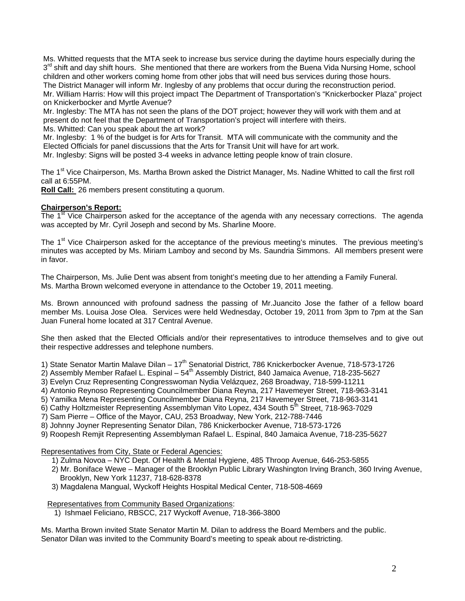Ms. Whitted requests that the MTA seek to increase bus service during the daytime hours especially during the 3<sup>rd</sup> shift and day shift hours. She mentioned that there are workers from the Buena Vida Nursing Home, school children and other workers coming home from other jobs that will need bus services during those hours. The District Manager will inform Mr. Inglesby of any problems that occur during the reconstruction period.

Mr. William Harris: How will this project impact The Department of Transportation's "Knickerbocker Plaza" project on Knickerbocker and Myrtle Avenue?

Mr. Inglesby: The MTA has not seen the plans of the DOT project; however they will work with them and at present do not feel that the Department of Transportation's project will interfere with theirs.

Ms. Whitted: Can you speak about the art work?

Mr. Inglesby: 1 % of the budget is for Arts for Transit. MTA will communicate with the community and the Elected Officials for panel discussions that the Arts for Transit Unit will have for art work.

Mr. Inglesby: Signs will be posted 3-4 weeks in advance letting people know of train closure.

The 1<sup>st</sup> Vice Chairperson, Ms. Martha Brown asked the District Manager, Ms. Nadine Whitted to call the first roll call at 6:55PM.

**Roll Call:** 26 members present constituting a quorum.

## **Chairperson's Report:**

The  $1<sup>st</sup>$  Vice Chairperson asked for the acceptance of the agenda with any necessary corrections. The agenda was accepted by Mr. Cyril Joseph and second by Ms. Sharline Moore.

The 1<sup>st</sup> Vice Chairperson asked for the acceptance of the previous meeting's minutes. The previous meeting's minutes was accepted by Ms. Miriam Lamboy and second by Ms. Saundria Simmons. All members present were in favor.

The Chairperson, Ms. Julie Dent was absent from tonight's meeting due to her attending a Family Funeral. Ms. Martha Brown welcomed everyone in attendance to the October 19, 2011 meeting.

Ms. Brown announced with profound sadness the passing of Mr.Juancito Jose the father of a fellow board member Ms. Louisa Jose Olea. Services were held Wednesday, October 19, 2011 from 3pm to 7pm at the San Juan Funeral home located at 317 Central Avenue.

She then asked that the Elected Officials and/or their representatives to introduce themselves and to give out their respective addresses and telephone numbers.

1) State Senator Martin Malave Dilan – 17<sup>th</sup> Senatorial District, 786 Knickerbocker Avenue, 718-573-1726

2) Assembly Member Rafael L. Espinal – 54<sup>th</sup> Assembly District, 840 Jamaica Avenue, 718-235-5627

3) Evelyn Cruz Representing Congresswoman Nydia Velázquez, 268 Broadway, 718-599-11211

4) Antonio Reynoso Representing Councilmember Diana Reyna, 217 Havemeyer Street, 718-963-3141

- 5) Yamilka Mena Representing Councilmember Diana Reyna, 217 Havemeyer Street, 718-963-3141
- 6) Cathy Holtzmeister Representing Assemblyman Vito Lopez, 434 South 5<sup>th</sup> Street, 718-963-7029

7) Sam Pierre – Office of the Mayor, CAU, 253 Broadway, New York, 212-788-7446

8) Johnny Joyner Representing Senator Dilan, 786 Knickerbocker Avenue, 718-573-1726

9) Roopesh Remjit Representing Assemblyman Rafael L. Espinal, 840 Jamaica Avenue, 718-235-5627

Representatives from City, State or Federal Agencies:

- 1) Zulma Novoa NYC Dept. Of Health & Mental Hygiene, 485 Throop Avenue, 646-253-5855
- 2) Mr. Boniface Wewe Manager of the Brooklyn Public Library Washington Irving Branch, 360 Irving Avenue, Brooklyn, New York 11237, 718-628-8378
- 3) Magdalena Mangual, Wyckoff Heights Hospital Medical Center, 718-508-4669

Representatives from Community Based Organizations:

1) Ishmael Feliciano, RBSCC, 217 Wyckoff Avenue, 718-366-3800

Ms. Martha Brown invited State Senator Martin M. Dilan to address the Board Members and the public. Senator Dilan was invited to the Community Board's meeting to speak about re-districting.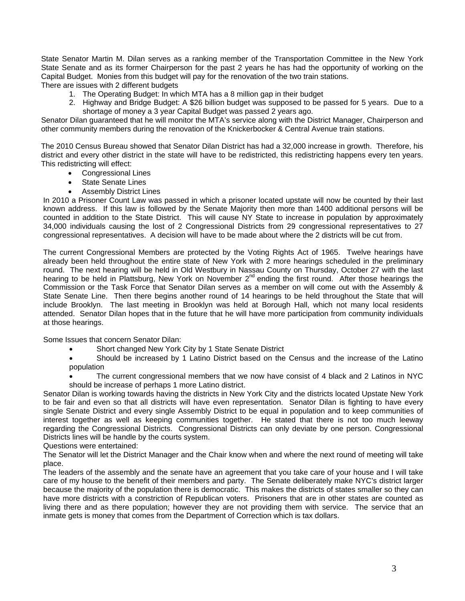State Senator Martin M. Dilan serves as a ranking member of the Transportation Committee in the New York State Senate and as its former Chairperson for the past 2 years he has had the opportunity of working on the Capital Budget. Monies from this budget will pay for the renovation of the two train stations. There are issues with 2 different budgets

1. The Operating Budget: In which MTA has a 8 million gap in their budget

2. Highway and Bridge Budget: A \$26 billion budget was supposed to be passed for 5 years. Due to a shortage of money a 3 year Capital Budget was passed 2 years ago.

Senator Dilan guaranteed that he will monitor the MTA's service along with the District Manager, Chairperson and other community members during the renovation of the Knickerbocker & Central Avenue train stations.

The 2010 Census Bureau showed that Senator Dilan District has had a 32,000 increase in growth. Therefore, his district and every other district in the state will have to be redistricted, this redistricting happens every ten years. This redistricting will effect:

- Congressional Lines
- State Senate Lines
- **Assembly District Lines**

In 2010 a Prisoner Count Law was passed in which a prisoner located upstate will now be counted by their last known address. If this law is followed by the Senate Majority then more than 1400 additional persons will be counted in addition to the State District. This will cause NY State to increase in population by approximately 34,000 individuals causing the lost of 2 Congressional Districts from 29 congressional representatives to 27 congressional representatives. A decision will have to be made about where the 2 districts will be cut from.

The current Congressional Members are protected by the Voting Rights Act of 1965. Twelve hearings have already been held throughout the entire state of New York with 2 more hearings scheduled in the preliminary round. The next hearing will be held in Old Westbury in Nassau County on Thursday, October 27 with the last hearing to be held in Plattsburg, New York on November 2<sup>nd</sup> ending the first round. After those hearings the Commission or the Task Force that Senator Dilan serves as a member on will come out with the Assembly & State Senate Line. Then there begins another round of 14 hearings to be held throughout the State that will include Brooklyn. The last meeting in Brooklyn was held at Borough Hall, which not many local residents attended. Senator Dilan hopes that in the future that he will have more participation from community individuals at those hearings.

Some Issues that concern Senator Dilan:

- Short changed New York City by 1 State Senate District
- Should be increased by 1 Latino District based on the Census and the increase of the Latino population
- The current congressional members that we now have consist of 4 black and 2 Latinos in NYC should be increase of perhaps 1 more Latino district.

Senator Dilan is working towards having the districts in New York City and the districts located Upstate New York to be fair and even so that all districts will have even representation. Senator Dilan is fighting to have every single Senate District and every single Assembly District to be equal in population and to keep communities of interest together as well as keeping communities together. He stated that there is not too much leeway regarding the Congressional Districts. Congressional Districts can only deviate by one person. Congressional Districts lines will be handle by the courts system.

Questions were entertained:

The Senator will let the District Manager and the Chair know when and where the next round of meeting will take place.

The leaders of the assembly and the senate have an agreement that you take care of your house and I will take care of my house to the benefit of their members and party. The Senate deliberately make NYC's district larger because the majority of the population there is democratic. This makes the districts of states smaller so they can have more districts with a constriction of Republican voters. Prisoners that are in other states are counted as living there and as there population; however they are not providing them with service. The service that an inmate gets is money that comes from the Department of Correction which is tax dollars.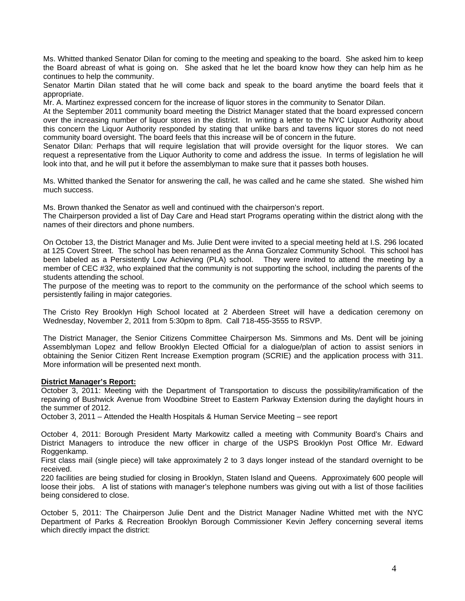Ms. Whitted thanked Senator Dilan for coming to the meeting and speaking to the board. She asked him to keep the Board abreast of what is going on. She asked that he let the board know how they can help him as he continues to help the community.

Senator Martin Dilan stated that he will come back and speak to the board anytime the board feels that it appropriate.

Mr. A. Martinez expressed concern for the increase of liquor stores in the community to Senator Dilan.

At the September 2011 community board meeting the District Manager stated that the board expressed concern over the increasing number of liquor stores in the district. In writing a letter to the NYC Liquor Authority about this concern the Liquor Authority responded by stating that unlike bars and taverns liquor stores do not need community board oversight. The board feels that this increase will be of concern in the future.

Senator Dilan: Perhaps that will require legislation that will provide oversight for the liquor stores. We can request a representative from the Liquor Authority to come and address the issue. In terms of legislation he will look into that, and he will put it before the assemblyman to make sure that it passes both houses.

Ms. Whitted thanked the Senator for answering the call, he was called and he came she stated. She wished him much success.

Ms. Brown thanked the Senator as well and continued with the chairperson's report.

The Chairperson provided a list of Day Care and Head start Programs operating within the district along with the names of their directors and phone numbers.

On October 13, the District Manager and Ms. Julie Dent were invited to a special meeting held at I.S. 296 located at 125 Covert Street. The school has been renamed as the Anna Gonzalez Community School. This school has been labeled as a Persistently Low Achieving (PLA) school. They were invited to attend the meeting by a member of CEC #32, who explained that the community is not supporting the school, including the parents of the students attending the school.

The purpose of the meeting was to report to the community on the performance of the school which seems to persistently failing in major categories.

The Cristo Rey Brooklyn High School located at 2 Aberdeen Street will have a dedication ceremony on Wednesday, November 2, 2011 from 5:30pm to 8pm. Call 718-455-3555 to RSVP.

The District Manager, the Senior Citizens Committee Chairperson Ms. Simmons and Ms. Dent will be joining Assemblyman Lopez and fellow Brooklyn Elected Official for a dialogue/plan of action to assist seniors in obtaining the Senior Citizen Rent Increase Exemption program (SCRIE) and the application process with 311. More information will be presented next month.

## **District Manager's Report:**

October 3, 2011: Meeting with the Department of Transportation to discuss the possibility/ramification of the repaving of Bushwick Avenue from Woodbine Street to Eastern Parkway Extension during the daylight hours in the summer of 2012.

October 3, 2011 – Attended the Health Hospitals & Human Service Meeting – see report

October 4, 2011: Borough President Marty Markowitz called a meeting with Community Board's Chairs and District Managers to introduce the new officer in charge of the USPS Brooklyn Post Office Mr. Edward Roggenkamp.

First class mail (single piece) will take approximately 2 to 3 days longer instead of the standard overnight to be received.

220 facilities are being studied for closing in Brooklyn, Staten Island and Queens. Approximately 600 people will loose their jobs. A list of stations with manager's telephone numbers was giving out with a list of those facilities being considered to close.

October 5, 2011: The Chairperson Julie Dent and the District Manager Nadine Whitted met with the NYC Department of Parks & Recreation Brooklyn Borough Commissioner Kevin Jeffery concerning several items which directly impact the district: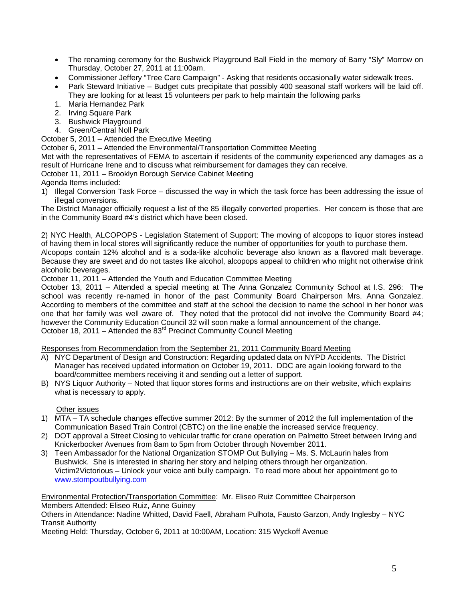- The renaming ceremony for the Bushwick Playground Ball Field in the memory of Barry "Sly" Morrow on Thursday, October 27, 2011 at 11:00am.
- Commissioner Jeffery "Tree Care Campaign" Asking that residents occasionally water sidewalk trees.
- Park Steward Initiative Budget cuts precipitate that possibly 400 seasonal staff workers will be laid off. They are looking for at least 15 volunteers per park to help maintain the following parks
- 1. Maria Hernandez Park
- 2. Irving Square Park
- 3. Bushwick Playground
- 4. Green/Central Noll Park

October 5, 2011 – Attended the Executive Meeting

October 6, 2011 – Attended the Environmental/Transportation Committee Meeting

Met with the representatives of FEMA to ascertain if residents of the community experienced any damages as a result of Hurricane Irene and to discuss what reimbursement for damages they can receive.

October 11, 2011 – Brooklyn Borough Service Cabinet Meeting

Agenda Items included:

1) Illegal Conversion Task Force – discussed the way in which the task force has been addressing the issue of illegal conversions.

The District Manager officially request a list of the 85 illegally converted properties. Her concern is those that are in the Community Board #4's district which have been closed.

2) NYC Health, ALCOPOPS - Legislation Statement of Support: The moving of alcopops to liquor stores instead of having them in local stores will significantly reduce the number of opportunities for youth to purchase them.

Alcopops contain 12% alcohol and is a soda-like alcoholic beverage also known as a flavored malt beverage. Because they are sweet and do not tastes like alcohol, alcopops appeal to children who might not otherwise drink alcoholic beverages.

October 11, 2011 – Attended the Youth and Education Committee Meeting

October 13, 2011 – Attended a special meeting at The Anna Gonzalez Community School at I.S. 296: The school was recently re-named in honor of the past Community Board Chairperson Mrs. Anna Gonzalez. According to members of the committee and staff at the school the decision to name the school in her honor was one that her family was well aware of. They noted that the protocol did not involve the Community Board #4; however the Community Education Council 32 will soon make a formal announcement of the change. October 18, 2011 – Attended the  $83<sup>rd</sup>$  Precinct Community Council Meeting

Responses from Recommendation from the September 21, 2011 Community Board Meeting

- A) NYC Department of Design and Construction: Regarding updated data on NYPD Accidents. The District Manager has received updated information on October 19, 2011. DDC are again looking forward to the board/committee members receiving it and sending out a letter of support.
- B) NYS Liquor Authority Noted that liquor stores forms and instructions are on their website, which explains what is necessary to apply.

Other issues

- 1) MTA TA schedule changes effective summer 2012: By the summer of 2012 the full implementation of the Communication Based Train Control (CBTC) on the line enable the increased service frequency.
- 2) DOT approval a Street Closing to vehicular traffic for crane operation on Palmetto Street between Irving and Knickerbocker Avenues from 8am to 5pm from October through November 2011.
- 3) Teen Ambassador for the National Organization STOMP Out Bullying Ms. S. McLaurin hales from Bushwick. She is interested in sharing her story and helping others through her organization. Victim2Victorious – Unlock your voice anti bully campaign. To read more about her appointment go to www.stompoutbullying.com

Environmental Protection/Transportation Committee: Mr. Eliseo Ruiz Committee Chairperson Members Attended: Eliseo Ruiz, Anne Guiney

Others in Attendance: Nadine Whitted, David Faell, Abraham Pulhota, Fausto Garzon, Andy Inglesby – NYC Transit Authority

Meeting Held: Thursday, October 6, 2011 at 10:00AM, Location: 315 Wyckoff Avenue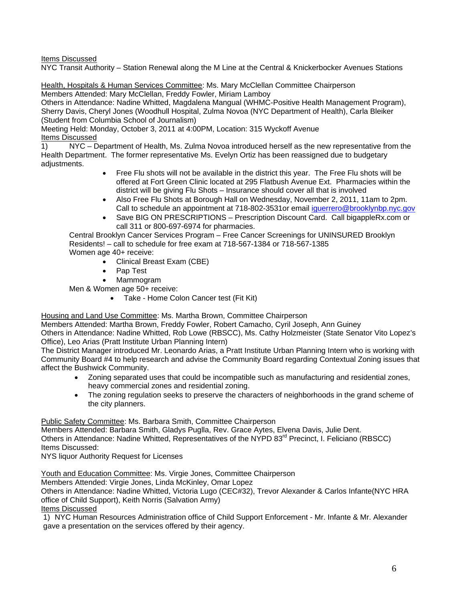Items Discussed

NYC Transit Authority – Station Renewal along the M Line at the Central & Knickerbocker Avenues Stations

Health, Hospitals & Human Services Committee: Ms. Mary McClellan Committee Chairperson Members Attended: Mary McClellan, Freddy Fowler, Miriam Lamboy

Others in Attendance: Nadine Whitted, Magdalena Mangual (WHMC-Positive Health Management Program), Sherry Davis, Cheryl Jones (Woodhull Hospital, Zulma Novoa (NYC Department of Health), Carla Bleiker (Student from Columbia School of Journalism)

Meeting Held: Monday, October 3, 2011 at 4:00PM, Location: 315 Wyckoff Avenue Items Discussed

1) NYC – Department of Health, Ms. Zulma Novoa introduced herself as the new representative from the Health Department. The former representative Ms. Evelyn Ortiz has been reassigned due to budgetary adjustments.

- Free Flu shots will not be available in the district this year. The Free Flu shots will be offered at Fort Green Clinic located at 295 Flatbush Avenue Ext. Pharmacies within the district will be giving Flu Shots – Insurance should cover all that is involved
- Also Free Flu Shots at Borough Hall on Wednesday, November 2, 2011, 11am to 2pm. Call to schedule an appointment at 718-802-3531or email iguerrero@brooklynbp.nyc.gov
- Save BIG ON PRESCRIPTIONS Prescription Discount Card. Call bigappleRx.com or call 311 or 800-697-6974 for pharmacies.

Central Brooklyn Cancer Services Program – Free Cancer Screenings for UNINSURED Brooklyn Residents! – call to schedule for free exam at 718-567-1384 or 718-567-1385 Women age 40+ receive:

- Clinical Breast Exam (CBE)
- Pap Test
- Mammogram

Men & Women age 50+ receive:

• Take - Home Colon Cancer test (Fit Kit)

Housing and Land Use Committee: Ms. Martha Brown, Committee Chairperson

Members Attended: Martha Brown, Freddy Fowler, Robert Camacho, Cyril Joseph, Ann Guiney

Others in Attendance: Nadine Whitted, Rob Lowe (RBSCC), Ms. Cathy Holzmeister (State Senator Vito Lopez's Office), Leo Arias (Pratt Institute Urban Planning Intern)

The District Manager introduced Mr. Leonardo Arias, a Pratt Institute Urban Planning Intern who is working with Community Board #4 to help research and advise the Community Board regarding Contextual Zoning issues that affect the Bushwick Community.

- Zoning separated uses that could be incompatible such as manufacturing and residential zones, heavy commercial zones and residential zoning.
- The zoning regulation seeks to preserve the characters of neighborhoods in the grand scheme of the city planners.

Public Safety Committee: Ms. Barbara Smith, Committee Chairperson

Members Attended: Barbara Smith, Gladys Puglla, Rev. Grace Aytes, Elvena Davis, Julie Dent. Others in Attendance: Nadine Whitted, Representatives of the NYPD 83<sup>rd</sup> Precinct, I. Feliciano (RBSCC) Items Discussed:

NYS liquor Authority Request for Licenses

Youth and Education Committee: Ms. Virgie Jones, Committee Chairperson

Members Attended: Virgie Jones, Linda McKinley, Omar Lopez

Others in Attendance: Nadine Whitted, Victoria Lugo (CEC#32), Trevor Alexander & Carlos Infante(NYC HRA office of Child Support), Keith Norris (Salvation Army)

Items Discussed

1) NYC Human Resources Administration office of Child Support Enforcement - Mr. Infante & Mr. Alexander gave a presentation on the services offered by their agency.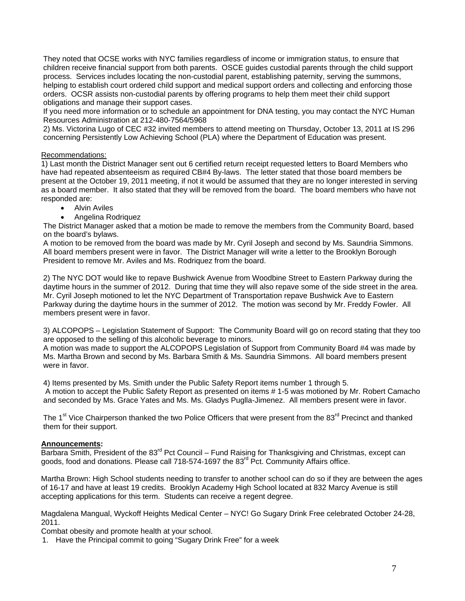They noted that OCSE works with NYC families regardless of income or immigration status, to ensure that children receive financial support from both parents. OSCE guides custodial parents through the child support process. Services includes locating the non-custodial parent, establishing paternity, serving the summons, helping to establish court ordered child support and medical support orders and collecting and enforcing those orders. OCSR assists non-custodial parents by offering programs to help them meet their child support obligations and manage their support cases.

If you need more information or to schedule an appointment for DNA testing, you may contact the NYC Human Resources Administration at 212-480-7564/5968

2) Ms. Victorina Lugo of CEC #32 invited members to attend meeting on Thursday, October 13, 2011 at IS 296 concerning Persistently Low Achieving School (PLA) where the Department of Education was present.

## Recommendations:

1) Last month the District Manager sent out 6 certified return receipt requested letters to Board Members who have had repeated absenteeism as required CB#4 By-laws. The letter stated that those board members be present at the October 19, 2011 meeting, if not it would be assumed that they are no longer interested in serving as a board member. It also stated that they will be removed from the board. The board members who have not responded are:

- **Alvin Aviles**
- Angelina Rodriquez

The District Manager asked that a motion be made to remove the members from the Community Board, based on the board's bylaws.

A motion to be removed from the board was made by Mr. Cyril Joseph and second by Ms. Saundria Simmons. All board members present were in favor. The District Manager will write a letter to the Brooklyn Borough President to remove Mr. Aviles and Ms. Rodriquez from the board.

2) The NYC DOT would like to repave Bushwick Avenue from Woodbine Street to Eastern Parkway during the daytime hours in the summer of 2012. During that time they will also repave some of the side street in the area. Mr. Cyril Joseph motioned to let the NYC Department of Transportation repave Bushwick Ave to Eastern Parkway during the daytime hours in the summer of 2012. The motion was second by Mr. Freddy Fowler. All members present were in favor.

3) ALCOPOPS – Legislation Statement of Support: The Community Board will go on record stating that they too are opposed to the selling of this alcoholic beverage to minors.

A motion was made to support the ALCOPOPS Legislation of Support from Community Board #4 was made by Ms. Martha Brown and second by Ms. Barbara Smith & Ms. Saundria Simmons. All board members present were in favor.

4) Items presented by Ms. Smith under the Public Safety Report items number 1 through 5.

 A motion to accept the Public Safety Report as presented on items # 1-5 was motioned by Mr. Robert Camacho and seconded by Ms. Grace Yates and Ms. Ms. Gladys Puglla-Jimenez. All members present were in favor.

The 1<sup>st</sup> Vice Chairperson thanked the two Police Officers that were present from the 83<sup>rd</sup> Precinct and thanked them for their support.

## **Announcements:**

Barbara Smith, President of the 83<sup>rd</sup> Pct Council – Fund Raising for Thanksgiving and Christmas, except can goods, food and donations. Please call 718-574-1697 the 83<sup>rd</sup> Pct. Community Affairs office.

Martha Brown: High School students needing to transfer to another school can do so if they are between the ages of 16-17 and have at least 19 credits. Brooklyn Academy High School located at 832 Marcy Avenue is still accepting applications for this term. Students can receive a regent degree.

Magdalena Mangual, Wyckoff Heights Medical Center – NYC! Go Sugary Drink Free celebrated October 24-28, 2011.

Combat obesity and promote health at your school.

1. Have the Principal commit to going "Sugary Drink Free" for a week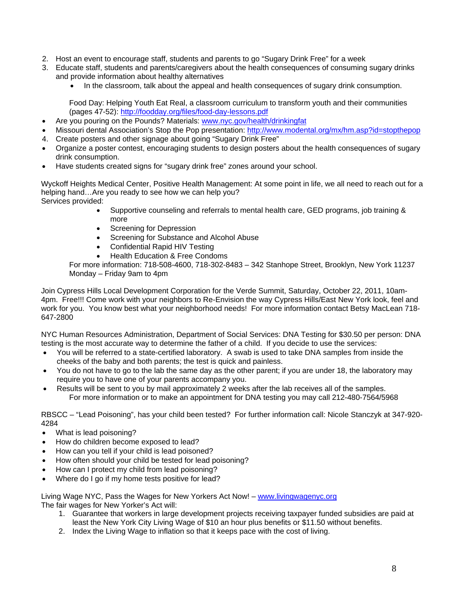- 2. Host an event to encourage staff, students and parents to go "Sugary Drink Free" for a week
- 3. Educate staff, students and parents/caregivers about the health consequences of consuming sugary drinks and provide information about healthy alternatives
	- In the classroom, talk about the appeal and health consequences of sugary drink consumption.

Food Day: Helping Youth Eat Real, a classroom curriculum to transform youth and their communities (pages 47-52): http://foodday.org/files/food-day-lessons.pdf

- Are you pouring on the Pounds? Materials: www.nyc.gov/health/drinkingfat
- Missouri dental Association's Stop the Pop presentation: http://www.modental.org/mx/hm.asp?id=stopthepop
- 4. Create posters and other signage about going "Sugary Drink Free"
- Organize a poster contest, encouraging students to design posters about the health consequences of sugary drink consumption.
- Have students created signs for "sugary drink free" zones around your school.

Wyckoff Heights Medical Center, Positive Health Management: At some point in life, we all need to reach out for a helping hand…Are you ready to see how we can help you? Services provided:

- Supportive counseling and referrals to mental health care, GED programs, job training & more
- Screening for Depression
- Screening for Substance and Alcohol Abuse
- Confidential Rapid HIV Testing
- Health Education & Free Condoms

For more information: 718-508-4600, 718-302-8483 – 342 Stanhope Street, Brooklyn, New York 11237 Monday – Friday 9am to 4pm

Join Cypress Hills Local Development Corporation for the Verde Summit, Saturday, October 22, 2011, 10am-4pm. Free!!! Come work with your neighbors to Re-Envision the way Cypress Hills/East New York look, feel and work for you. You know best what your neighborhood needs! For more information contact Betsy MacLean 718- 647-2800

NYC Human Resources Administration, Department of Social Services: DNA Testing for \$30.50 per person: DNA testing is the most accurate way to determine the father of a child. If you decide to use the services:

- You will be referred to a state-certified laboratory. A swab is used to take DNA samples from inside the cheeks of the baby and both parents; the test is quick and painless.
- You do not have to go to the lab the same day as the other parent; if you are under 18, the laboratory may require you to have one of your parents accompany you.
- Results will be sent to you by mail approximately 2 weeks after the lab receives all of the samples. For more information or to make an appointment for DNA testing you may call 212-480-7564/5968

RBSCC – "Lead Poisoning", has your child been tested? For further information call: Nicole Stanczyk at 347-920- 4284

- What is lead poisoning?
- How do children become exposed to lead?
- How can you tell if your child is lead poisoned?
- How often should your child be tested for lead poisoning?
- How can I protect my child from lead poisoning?
- Where do I go if my home tests positive for lead?

Living Wage NYC, Pass the Wages for New Yorkers Act Now! – www.livingwagenyc.org The fair wages for New Yorker's Act will:

- 1. Guarantee that workers in large development projects receiving taxpayer funded subsidies are paid at least the New York City Living Wage of \$10 an hour plus benefits or \$11.50 without benefits.
- 2. Index the Living Wage to inflation so that it keeps pace with the cost of living.